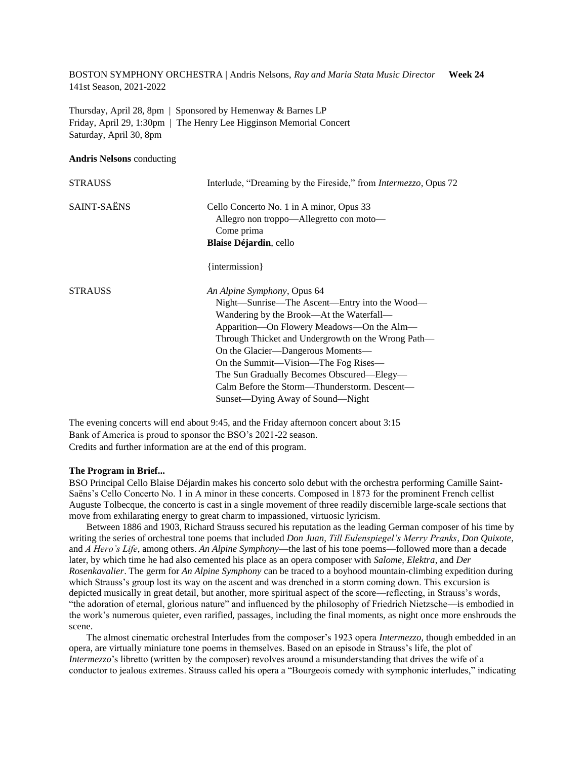BOSTON SYMPHONY ORCHESTRA | Andris Nelsons, *Ray and Maria Stata Music Director* **Week 24** 141st Season, 2021-2022

Thursday, April 28, 8pm | Sponsored by Hemenway & Barnes LP Friday, April 29, 1:30pm | The Henry Lee Higginson Memorial Concert Saturday, April 30, 8pm

#### **Andris Nelsons** conducting

| <b>STRAUSS</b> | Interlude, "Dreaming by the Fireside," from <i>Intermezzo</i> , Opus 72                                                                                                                                                                                                                                                                                                                                                                  |
|----------------|------------------------------------------------------------------------------------------------------------------------------------------------------------------------------------------------------------------------------------------------------------------------------------------------------------------------------------------------------------------------------------------------------------------------------------------|
| SAINT-SAËNS    | Cello Concerto No. 1 in A minor, Opus 33<br>Allegro non troppo—Allegretto con moto—<br>Come prima<br><b>Blaise Déjardin, cello</b>                                                                                                                                                                                                                                                                                                       |
|                | {intermission}                                                                                                                                                                                                                                                                                                                                                                                                                           |
| <b>STRAUSS</b> | An Alpine Symphony, Opus 64<br>Night—Sunrise—The Ascent—Entry into the Wood—<br>Wandering by the Brook—At the Waterfall—<br>Apparition—On Flowery Meadows—On the Alm—<br>Through Thicket and Undergrowth on the Wrong Path—<br>On the Glacier—Dangerous Moments—<br>On the Summit—Vision—The Fog Rises—<br>The Sun Gradually Becomes Obscured-Elegy-<br>Calm Before the Storm—Thunderstorm. Descent—<br>Sunset—Dying Away of Sound—Night |

The evening concerts will end about 9:45, and the Friday afternoon concert about 3:15 Bank of America is proud to sponsor the BSO's 2021-22 season. Credits and further information are at the end of this program.

### **The Program in Brief...**

BSO Principal Cello Blaise Déjardin makes his concerto solo debut with the orchestra performing Camille Saint-Saëns's Cello Concerto No. 1 in A minor in these concerts. Composed in 1873 for the prominent French cellist Auguste Tolbecque, the concerto is cast in a single movement of three readily discernible large-scale sections that move from exhilarating energy to great charm to impassioned, virtuosic lyricism.

Between 1886 and 1903, Richard Strauss secured his reputation as the leading German composer of his time by writing the series of orchestral tone poems that included *Don Juan*, *Till Eulenspiegel's Merry Pranks*, *Don Quixote*, and *A Hero's Life*, among others. *An Alpine Symphony*—the last of his tone poems—followed more than a decade later, by which time he had also cemented his place as an opera composer with *Salome*, *Elektra*, and *Der Rosenkavalier*. The germ for *An Alpine Symphony* can be traced to a boyhood mountain-climbing expedition during which Strauss's group lost its way on the ascent and was drenched in a storm coming down. This excursion is depicted musically in great detail, but another, more spiritual aspect of the score—reflecting, in Strauss's words, "the adoration of eternal, glorious nature" and influenced by the philosophy of Friedrich Nietzsche—is embodied in the work's numerous quieter, even rarified, passages, including the final moments, as night once more enshrouds the scene.

The almost cinematic orchestral Interludes from the composer's 1923 opera *Intermezzo*, though embedded in an opera, are virtually miniature tone poems in themselves. Based on an episode in Strauss's life, the plot of *Intermezzo*'s libretto (written by the composer) revolves around a misunderstanding that drives the wife of a conductor to jealous extremes. Strauss called his opera a "Bourgeois comedy with symphonic interludes," indicating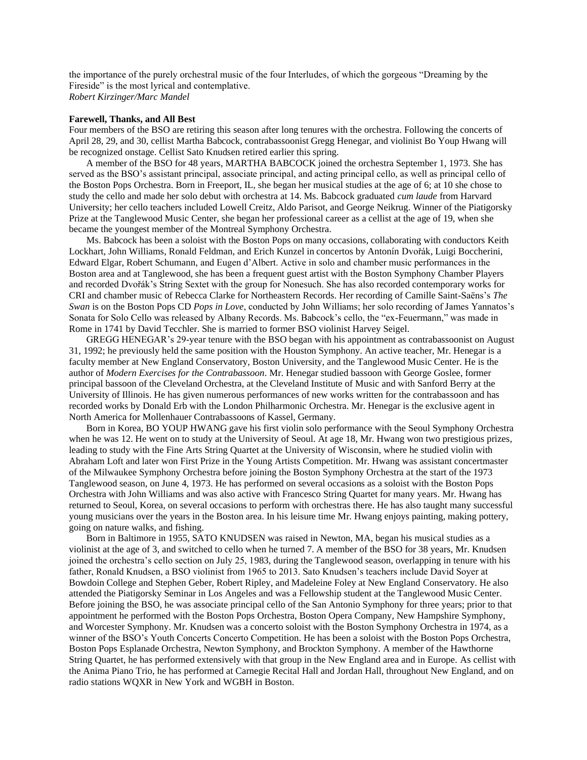the importance of the purely orchestral music of the four Interludes, of which the gorgeous "Dreaming by the Fireside" is the most lyrical and contemplative. *Robert Kirzinger/Marc Mandel*

## **Farewell, Thanks, and All Best**

Four members of the BSO are retiring this season after long tenures with the orchestra. Following the concerts of April 28, 29, and 30, cellist Martha Babcock, contrabassoonist Gregg Henegar, and violinist Bo Youp Hwang will be recognized onstage. Cellist Sato Knudsen retired earlier this spring.

A member of the BSO for 48 years, MARTHA BABCOCK joined the orchestra September 1, 1973. She has served as the BSO's assistant principal, associate principal, and acting principal cello, as well as principal cello of the Boston Pops Orchestra. Born in Freeport, IL, she began her musical studies at the age of 6; at 10 she chose to study the cello and made her solo debut with orchestra at 14. Ms. Babcock graduated *cum laude* from Harvard University; her cello teachers included Lowell Creitz, Aldo Parisot, and George Neikrug. Winner of the Piatigorsky Prize at the Tanglewood Music Center, she began her professional career as a cellist at the age of 19, when she became the youngest member of the Montreal Symphony Orchestra.

Ms. Babcock has been a soloist with the Boston Pops on many occasions, collaborating with conductors Keith Lockhart, John Williams, Ronald Feldman, and Erich Kunzel in concertos by Antonín Dvořák, Luigi Boccherini, Edward Elgar, Robert Schumann, and Eugen d'Albert. Active in solo and chamber music performances in the Boston area and at Tanglewood, she has been a frequent guest artist with the Boston Symphony Chamber Players and recorded Dvořák's String Sextet with the group for Nonesuch. She has also recorded contemporary works for CRI and chamber music of Rebecca Clarke for Northeastern Records. Her recording of Camille Saint-Saëns's *The Swan* is on the Boston Pops CD *Pops in Love*, conducted by John Williams; her solo recording of James Yannatos's Sonata for Solo Cello was released by Albany Records. Ms. Babcock's cello, the "ex-Feuermann," was made in Rome in 1741 by David Tecchler. She is married to former BSO violinist Harvey Seigel.

GREGG HENEGAR's 29-year tenure with the BSO began with his appointment as contrabassoonist on August 31, 1992; he previously held the same position with the Houston Symphony. An active teacher, Mr. Henegar is a faculty member at New England Conservatory, Boston University, and the Tanglewood Music Center. He is the author of *Modern Exercises for the Contrabassoon*. Mr. Henegar studied bassoon with George Goslee, former principal bassoon of the Cleveland Orchestra, at the Cleveland Institute of Music and with Sanford Berry at the University of Illinois. He has given numerous performances of new works written for the contrabassoon and has recorded works by Donald Erb with the London Philharmonic Orchestra. Mr. Henegar is the exclusive agent in North America for Mollenhauer Contrabassoons of Kassel, Germany.

Born in Korea, BO YOUP HWANG gave his first violin solo performance with the Seoul Symphony Orchestra when he was 12. He went on to study at the University of Seoul. At age 18, Mr. Hwang won two prestigious prizes, leading to study with the Fine Arts String Quartet at the University of Wisconsin, where he studied violin with Abraham Loft and later won First Prize in the Young Artists Competition. Mr. Hwang was assistant concertmaster of the Milwaukee Symphony Orchestra before joining the Boston Symphony Orchestra at the start of the 1973 Tanglewood season, on June 4, 1973. He has performed on several occasions as a soloist with the Boston Pops Orchestra with John Williams and was also active with Francesco String Quartet for many years. Mr. Hwang has returned to Seoul, Korea, on several occasions to perform with orchestras there. He has also taught many successful young musicians over the years in the Boston area. In his leisure time Mr. Hwang enjoys painting, making pottery, going on nature walks, and fishing.

Born in Baltimore in 1955, SATO KNUDSEN was raised in Newton, MA, began his musical studies as a violinist at the age of 3, and switched to cello when he turned 7. A member of the BSO for 38 years, Mr. Knudsen joined the orchestra's cello section on July 25, 1983, during the Tanglewood season, overlapping in tenure with his father, Ronald Knudsen, a BSO violinist from 1965 to 2013. Sato Knudsen's teachers include David Soyer at Bowdoin College and Stephen Geber, Robert Ripley, and Madeleine Foley at New England Conservatory. He also attended the Piatigorsky Seminar in Los Angeles and was a Fellowship student at the Tanglewood Music Center. Before joining the BSO, he was associate principal cello of the San Antonio Symphony for three years; prior to that appointment he performed with the Boston Pops Orchestra, Boston Opera Company, New Hampshire Symphony, and Worcester Symphony. Mr. Knudsen was a concerto soloist with the Boston Symphony Orchestra in 1974, as a winner of the BSO's Youth Concerts Concerto Competition. He has been a soloist with the Boston Pops Orchestra, Boston Pops Esplanade Orchestra, Newton Symphony, and Brockton Symphony. A member of the Hawthorne String Quartet, he has performed extensively with that group in the New England area and in Europe. As cellist with the Anima Piano Trio, he has performed at Carnegie Recital Hall and Jordan Hall, throughout New England, and on radio stations WQXR in New York and WGBH in Boston.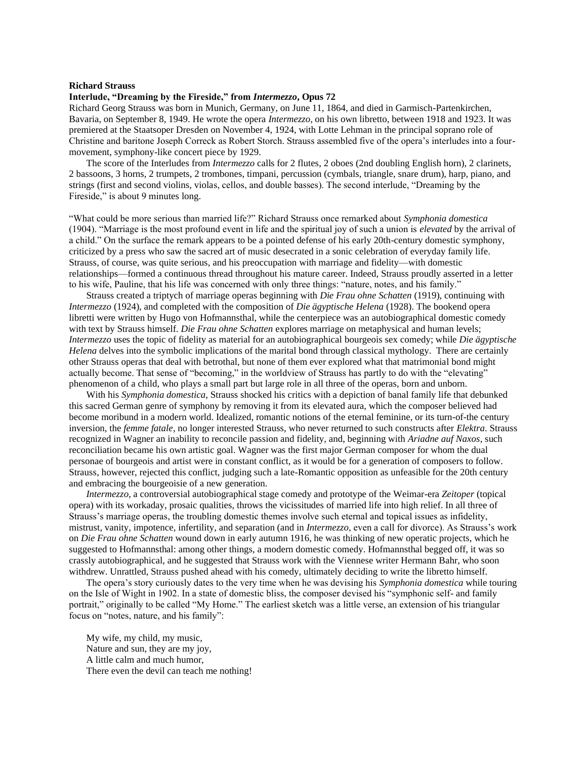### **Richard Strauss**

## **Interlude, "Dreaming by the Fireside," from** *Intermezzo***, Opus 72**

Richard Georg Strauss was born in Munich, Germany, on June 11, 1864, and died in Garmisch-Partenkirchen, Bavaria, on September 8, 1949. He wrote the opera *Intermezzo*, on his own libretto, between 1918 and 1923. It was premiered at the Staatsoper Dresden on November 4, 1924, with Lotte Lehman in the principal soprano role of Christine and baritone Joseph Correck as Robert Storch. Strauss assembled five of the opera's interludes into a fourmovement, symphony-like concert piece by 1929.

The score of the Interludes from *Intermezzo* calls for 2 flutes, 2 oboes (2nd doubling English horn), 2 clarinets, 2 bassoons, 3 horns, 2 trumpets, 2 trombones, timpani, percussion (cymbals, triangle, snare drum), harp, piano, and strings (first and second violins, violas, cellos, and double basses). The second interlude, "Dreaming by the Fireside," is about 9 minutes long.

"What could be more serious than married life?" Richard Strauss once remarked about *Symphonia domestica* (1904). "Marriage is the most profound event in life and the spiritual joy of such a union is *elevated* by the arrival of a child." On the surface the remark appears to be a pointed defense of his early 20th-century domestic symphony, criticized by a press who saw the sacred art of music desecrated in a sonic celebration of everyday family life. Strauss, of course, was quite serious, and his preoccupation with marriage and fidelity—with domestic relationships—formed a continuous thread throughout his mature career. Indeed, Strauss proudly asserted in a letter to his wife, Pauline, that his life was concerned with only three things: "nature, notes, and his family."

Strauss created a triptych of marriage operas beginning with *Die Frau ohne Schatten* (1919), continuing with *Intermezzo* (1924), and completed with the composition of *Die ägyptische Helena* (1928). The bookend opera libretti were written by Hugo von Hofmannsthal, while the centerpiece was an autobiographical domestic comedy with text by Strauss himself. *Die Frau ohne Schatten* explores marriage on metaphysical and human levels; *Intermezzo* uses the topic of fidelity as material for an autobiographical bourgeois sex comedy; while *Die ägyptische Helena* delves into the symbolic implications of the marital bond through classical mythology. There are certainly other Strauss operas that deal with betrothal, but none of them ever explored what that matrimonial bond might actually become. That sense of "becoming," in the worldview of Strauss has partly to do with the "elevating" phenomenon of a child, who plays a small part but large role in all three of the operas, born and unborn.

With his *Symphonia domestica*, Strauss shocked his critics with a depiction of banal family life that debunked this sacred German genre of symphony by removing it from its elevated aura, which the composer believed had become moribund in a modern world. Idealized, romantic notions of the eternal feminine, or its turn-of-the century inversion, the *femme fatale*, no longer interested Strauss, who never returned to such constructs after *Elektra*. Strauss recognized in Wagner an inability to reconcile passion and fidelity, and, beginning with *Ariadne auf Naxos*, such reconciliation became his own artistic goal. Wagner was the first major German composer for whom the dual personae of bourgeois and artist were in constant conflict, as it would be for a generation of composers to follow. Strauss, however, rejected this conflict, judging such a late-Romantic opposition as unfeasible for the 20th century and embracing the bourgeoisie of a new generation.

*Intermezzo*, a controversial autobiographical stage comedy and prototype of the Weimar-era *Zeitoper* (topical opera) with its workaday, prosaic qualities, throws the vicissitudes of married life into high relief. In all three of Strauss's marriage operas, the troubling domestic themes involve such eternal and topical issues as infidelity, mistrust, vanity, impotence, infertility, and separation (and in *Intermezzo*, even a call for divorce). As Strauss's work on *Die Frau ohne Schatten* wound down in early autumn 1916, he was thinking of new operatic projects, which he suggested to Hofmannsthal: among other things, a modern domestic comedy. Hofmannsthal begged off, it was so crassly autobiographical, and he suggested that Strauss work with the Viennese writer Hermann Bahr, who soon withdrew. Unrattled, Strauss pushed ahead with his comedy, ultimately deciding to write the libretto himself.

The opera's story curiously dates to the very time when he was devising his *Symphonia domestica* while touring on the Isle of Wight in 1902. In a state of domestic bliss, the composer devised his "symphonic self- and family portrait," originally to be called "My Home." The earliest sketch was a little verse, an extension of his triangular focus on "notes, nature, and his family":

My wife, my child, my music, Nature and sun, they are my joy, A little calm and much humor, There even the devil can teach me nothing!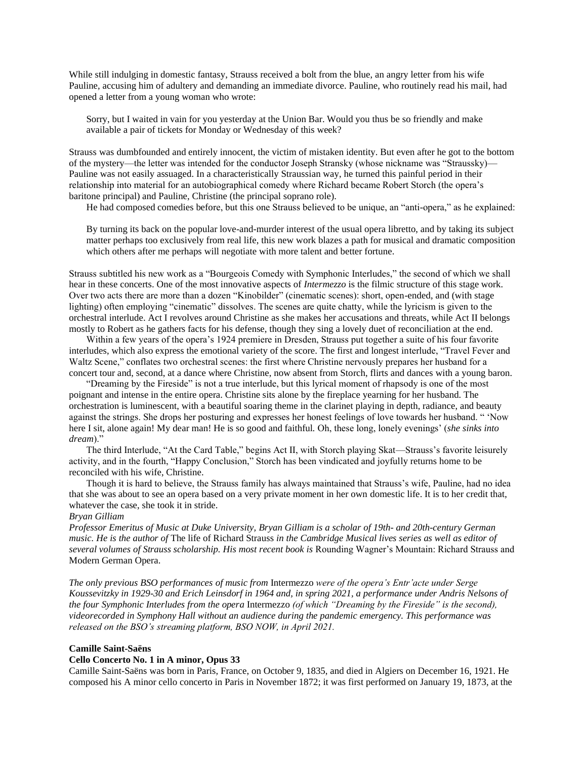While still indulging in domestic fantasy, Strauss received a bolt from the blue, an angry letter from his wife Pauline, accusing him of adultery and demanding an immediate divorce. Pauline, who routinely read his mail, had opened a letter from a young woman who wrote:

Sorry, but I waited in vain for you yesterday at the Union Bar. Would you thus be so friendly and make available a pair of tickets for Monday or Wednesday of this week?

Strauss was dumbfounded and entirely innocent, the victim of mistaken identity. But even after he got to the bottom of the mystery—the letter was intended for the conductor Joseph Stransky (whose nickname was "Straussky)— Pauline was not easily assuaged. In a characteristically Straussian way, he turned this painful period in their relationship into material for an autobiographical comedy where Richard became Robert Storch (the opera's baritone principal) and Pauline, Christine (the principal soprano role).

He had composed comedies before, but this one Strauss believed to be unique, an "anti-opera," as he explained:

By turning its back on the popular love-and-murder interest of the usual opera libretto, and by taking its subject matter perhaps too exclusively from real life, this new work blazes a path for musical and dramatic composition which others after me perhaps will negotiate with more talent and better fortune.

Strauss subtitled his new work as a "Bourgeois Comedy with Symphonic Interludes," the second of which we shall hear in these concerts. One of the most innovative aspects of *Intermezzo* is the filmic structure of this stage work. Over two acts there are more than a dozen "Kinobilder" (cinematic scenes): short, open-ended, and (with stage lighting) often employing "cinematic" dissolves. The scenes are quite chatty, while the lyricism is given to the orchestral interlude. Act I revolves around Christine as she makes her accusations and threats, while Act II belongs mostly to Robert as he gathers facts for his defense, though they sing a lovely duet of reconciliation at the end.

Within a few years of the opera's 1924 premiere in Dresden, Strauss put together a suite of his four favorite interludes, which also express the emotional variety of the score. The first and longest interlude, "Travel Fever and Waltz Scene," conflates two orchestral scenes: the first where Christine nervously prepares her husband for a concert tour and, second, at a dance where Christine, now absent from Storch, flirts and dances with a young baron.

"Dreaming by the Fireside" is not a true interlude, but this lyrical moment of rhapsody is one of the most poignant and intense in the entire opera. Christine sits alone by the fireplace yearning for her husband. The orchestration is luminescent, with a beautiful soaring theme in the clarinet playing in depth, radiance, and beauty against the strings. She drops her posturing and expresses her honest feelings of love towards her husband. " 'Now here I sit, alone again! My dear man! He is so good and faithful. Oh, these long, lonely evenings' (*she sinks into dream*)."

The third Interlude, "At the Card Table," begins Act II, with Storch playing Skat—Strauss's favorite leisurely activity, and in the fourth, "Happy Conclusion," Storch has been vindicated and joyfully returns home to be reconciled with his wife, Christine.

Though it is hard to believe, the Strauss family has always maintained that Strauss's wife, Pauline, had no idea that she was about to see an opera based on a very private moment in her own domestic life. It is to her credit that, whatever the case, she took it in stride.

### *Bryan Gilliam*

*Professor Emeritus of Music at Duke University, Bryan Gilliam is a scholar of 19th- and 20th-century German music. He is the author of* The life of Richard Strauss *in the Cambridge Musical lives series as well as editor of several volumes of Strauss scholarship. His most recent book is* Rounding Wagner's Mountain: Richard Strauss and Modern German Opera.

*The only previous BSO performances of music from* Intermezzo *were of the opera's Entr'acte under Serge Koussevitzky in 1929-30 and Erich Leinsdorf in 1964 and, in spring 2021, a performance under Andris Nelsons of the four Symphonic Interludes from the opera* Intermezzo *(of which "Dreaming by the Fireside" is the second), videorecorded in Symphony Hall without an audience during the pandemic emergency. This performance was released on the BSO's streaming platform, BSO NOW, in April 2021.*

## **Camille Saint-Saëns**

## **Cello Concerto No. 1 in A minor, Opus 33**

Camille Saint-Saëns was born in Paris, France, on October 9, 1835, and died in Algiers on December 16, 1921. He composed his A minor cello concerto in Paris in November 1872; it was first performed on January 19, 1873, at the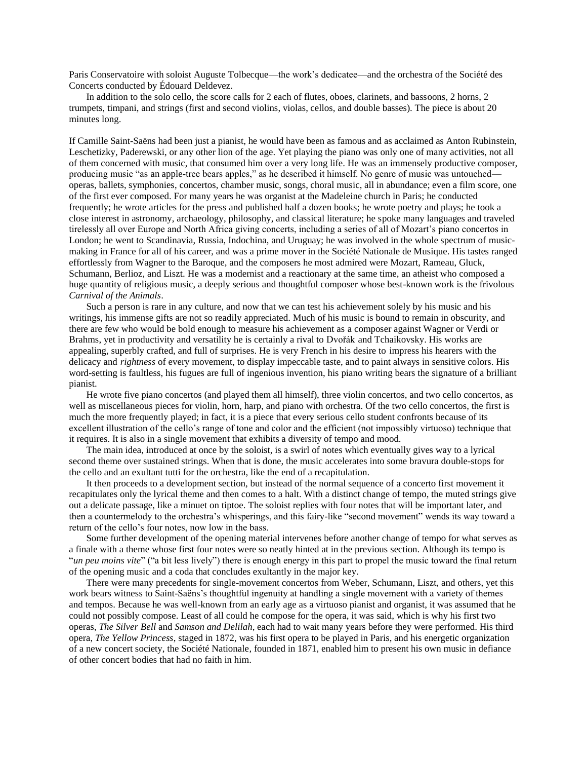Paris Conservatoire with soloist Auguste Tolbecque—the work's dedicatee—and the orchestra of the Société des Concerts conducted by Édouard Deldevez.

In addition to the solo cello, the score calls for 2 each of flutes, oboes, clarinets, and bassoons, 2 horns, 2 trumpets, timpani, and strings (first and second violins, violas, cellos, and double basses). The piece is about 20 minutes long.

If Camille Saint-Saëns had been just a pianist, he would have been as famous and as acclaimed as Anton Rubinstein, Leschetizky, Paderewski, or any other lion of the age. Yet playing the piano was only one of many activities, not all of them concerned with music, that consumed him over a very long life. He was an immensely productive composer, producing music "as an apple-tree bears apples," as he described it himself. No genre of music was untouched operas, ballets, symphonies, concertos, chamber music, songs, choral music, all in abundance; even a film score, one of the first ever composed. For many years he was organist at the Madeleine church in Paris; he conducted frequently; he wrote articles for the press and published half a dozen books; he wrote poetry and plays; he took a close interest in astronomy, archaeology, philosophy, and classical literature; he spoke many languages and traveled tirelessly all over Europe and North Africa giving concerts, including a series of all of Mozart's piano concertos in London; he went to Scandinavia, Russia, Indochina, and Uruguay; he was involved in the whole spectrum of musicmaking in France for all of his career, and was a prime mover in the Société Nationale de Musique. His tastes ranged effortlessly from Wagner to the Baroque, and the composers he most admired were Mozart, Rameau, Gluck, Schumann, Berlioz, and Liszt. He was a modernist and a reactionary at the same time, an atheist who composed a huge quantity of religious music, a deeply serious and thoughtful composer whose best-known work is the frivolous *Carnival of the Animals*.

Such a person is rare in any culture, and now that we can test his achievement solely by his music and his writings, his immense gifts are not so readily appreciated. Much of his music is bound to remain in obscurity, and there are few who would be bold enough to measure his achievement as a composer against Wagner or Verdi or Brahms, yet in productivity and versatility he is certainly a rival to Dvořák and Tchaikovsky. His works are appealing, superbly crafted, and full of surprises. He is very French in his desire to impress his hearers with the delicacy and *rightness* of every movement, to display impeccable taste, and to paint always in sensitive colors. His word-setting is faultless, his fugues are full of ingenious invention, his piano writing bears the signature of a brilliant pianist.

He wrote five piano concertos (and played them all himself), three violin concertos, and two cello concertos, as well as miscellaneous pieces for violin, horn, harp, and piano with orchestra. Of the two cello concertos, the first is much the more frequently played; in fact, it is a piece that every serious cello student confronts because of its excellent illustration of the cello's range of tone and color and the efficient (not impossibly virtuoso) technique that it requires. It is also in a single movement that exhibits a diversity of tempo and mood.

The main idea, introduced at once by the soloist, is a swirl of notes which eventually gives way to a lyrical second theme over sustained strings. When that is done, the music accelerates into some bravura double-stops for the cello and an exultant tutti for the orchestra, like the end of a recapitulation.

It then proceeds to a development section, but instead of the normal sequence of a concerto first movement it recapitulates only the lyrical theme and then comes to a halt. With a distinct change of tempo, the muted strings give out a delicate passage, like a minuet on tiptoe. The soloist replies with four notes that will be important later, and then a countermelody to the orchestra's whisperings, and this fairy-like "second movement" wends its way toward a return of the cello's four notes, now low in the bass.

Some further development of the opening material intervenes before another change of tempo for what serves as a finale with a theme whose first four notes were so neatly hinted at in the previous section. Although its tempo is "*un peu moins vite*" ("a bit less lively") there is enough energy in this part to propel the music toward the final return of the opening music and a coda that concludes exultantly in the major key.

There were many precedents for single-movement concertos from Weber, Schumann, Liszt, and others, yet this work bears witness to Saint-Saëns's thoughtful ingenuity at handling a single movement with a variety of themes and tempos. Because he was well-known from an early age as a virtuoso pianist and organist, it was assumed that he could not possibly compose. Least of all could he compose for the opera, it was said, which is why his first two operas, *The Silver Bell* and *Samson and Delilah*, each had to wait many years before they were performed. His third opera, *The Yellow Princess*, staged in 1872, was his first opera to be played in Paris, and his energetic organization of a new concert society, the Société Nationale*,* founded in 1871, enabled him to present his own music in defiance of other concert bodies that had no faith in him.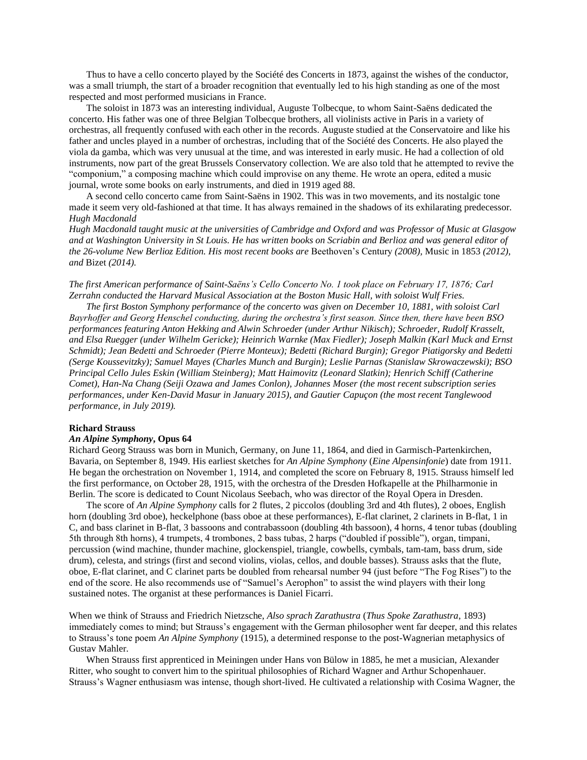Thus to have a cello concerto played by the Société des Concerts in 1873, against the wishes of the conductor, was a small triumph, the start of a broader recognition that eventually led to his high standing as one of the most respected and most performed musicians in France.

The soloist in 1873 was an interesting individual, Auguste Tolbecque, to whom Saint-Saëns dedicated the concerto. His father was one of three Belgian Tolbecque brothers, all violinists active in Paris in a variety of orchestras, all frequently confused with each other in the records. Auguste studied at the Conservatoire and like his father and uncles played in a number of orchestras, including that of the Société des Concerts. He also played the viola da gamba, which was very unusual at the time, and was interested in early music. He had a collection of old instruments, now part of the great Brussels Conservatory collection. We are also told that he attempted to revive the "componium," a composing machine which could improvise on any theme. He wrote an opera, edited a music journal, wrote some books on early instruments, and died in 1919 aged 88.

A second cello concerto came from Saint-Saëns in 1902. This was in two movements, and its nostalgic tone made it seem very old-fashioned at that time. It has always remained in the shadows of its exhilarating predecessor. *Hugh Macdonald*

*Hugh Macdonald taught music at the universities of Cambridge and Oxford and was Professor of Music at Glasgow and at Washington University in St Louis. He has written books on Scriabin and Berlioz and was general editor of the 26-volume New Berlioz Edition. His most recent books are* Beethoven's Century *(2008),* Music in 1853 *(2012), and* Bizet *(2014).*

*The first American performance of Saint-Saëns's Cello Concerto No. 1 took place on February 17, 1876; Carl Zerrahn conducted the Harvard Musical Association at the Boston Music Hall, with soloist Wulf Fries.*

*The first Boston Symphony performance of the concerto was given on December 10, 1881, with soloist Carl Bayrhoffer and Georg Henschel conducting, during the orchestra's first season. Since then, there have been BSO performances featuring Anton Hekking and Alwin Schroeder (under Arthur Nikisch); Schroeder, Rudolf Krasselt, and Elsa Ruegger (under Wilhelm Gericke); Heinrich Warnke (Max Fiedler); Joseph Malkin (Karl Muck and Ernst Schmidt); Jean Bedetti and Schroeder (Pierre Monteux); Bedetti (Richard Burgin); Gregor Piatigorsky and Bedetti (Serge Koussevitzky); Samuel Mayes (Charles Munch and Burgin); Leslie Parnas (Stanislaw Skrowaczewski); BSO Principal Cello Jules Eskin (William Steinberg); Matt Haimovitz (Leonard Slatkin); Henrich Schiff (Catherine Comet), Han-Na Chang (Seiji Ozawa and James Conlon), Johannes Moser (the most recent subscription series performances, under Ken-David Masur in January 2015), and Gautier Capuçon (the most recent Tanglewood performance, in July 2019).*

## **Richard Strauss**

# *An Alpine Symphony***, Opus 64**

Richard Georg Strauss was born in Munich, Germany, on June 11, 1864, and died in Garmisch-Partenkirchen, Bavaria, on September 8, 1949. His earliest sketches for *An Alpine Symphony* (*Eine Alpensinfonie*) date from 1911. He began the orchestration on November 1, 1914, and completed the score on February 8, 1915. Strauss himself led the first performance, on October 28, 1915, with the orchestra of the Dresden Hofkapelle at the Philharmonie in Berlin. The score is dedicated to Count Nicolaus Seebach, who was director of the Royal Opera in Dresden.

The score of *An Alpine Symphony* calls for 2 flutes, 2 piccolos (doubling 3rd and 4th flutes), 2 oboes, English horn (doubling 3rd oboe), heckelphone (bass oboe at these performances), E-flat clarinet, 2 clarinets in B-flat, 1 in C, and bass clarinet in B-flat, 3 bassoons and contrabassoon (doubling 4th bassoon), 4 horns, 4 tenor tubas (doubling 5th through 8th horns), 4 trumpets, 4 trombones, 2 bass tubas, 2 harps ("doubled if possible"), organ, timpani, percussion (wind machine, thunder machine, glockenspiel, triangle, cowbells, cymbals, tam-tam, bass drum, side drum), celesta, and strings (first and second violins, violas, cellos, and double basses). Strauss asks that the flute, oboe, E-flat clarinet, and C clarinet parts be doubled from rehearsal number 94 (just before "The Fog Rises") to the end of the score. He also recommends use of "Samuel's Aerophon" to assist the wind players with their long sustained notes. The organist at these performances is Daniel Ficarri.

When we think of Strauss and Friedrich Nietzsche, *Also sprach Zarathustra* (*Thus Spoke Zarathustra*, 1893) immediately comes to mind; but Strauss's engagement with the German philosopher went far deeper, and this relates to Strauss's tone poem *An Alpine Symphony* (1915), a determined response to the post-Wagnerian metaphysics of Gustav Mahler.

When Strauss first apprenticed in Meiningen under Hans von Bülow in 1885, he met a musician, Alexander Ritter, who sought to convert him to the spiritual philosophies of Richard Wagner and Arthur Schopenhauer. Strauss's Wagner enthusiasm was intense, though short-lived. He cultivated a relationship with Cosima Wagner, the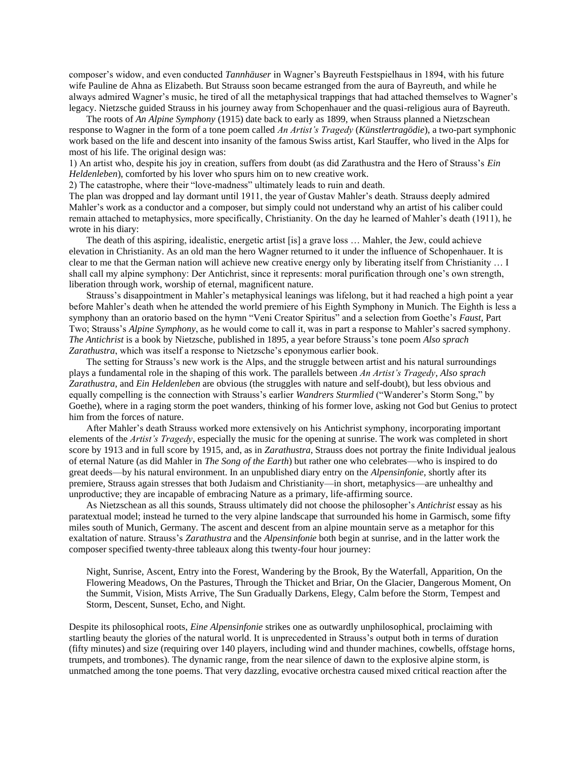composer's widow, and even conducted *Tannhäuser* in Wagner's Bayreuth Festspielhaus in 1894, with his future wife Pauline de Ahna as Elizabeth. But Strauss soon became estranged from the aura of Bayreuth, and while he always admired Wagner's music, he tired of all the metaphysical trappings that had attached themselves to Wagner's legacy. Nietzsche guided Strauss in his journey away from Schopenhauer and the quasi-religious aura of Bayreuth.

The roots of *An Alpine Symphony* (1915) date back to early as 1899, when Strauss planned a Nietzschean response to Wagner in the form of a tone poem called *An Artist's Tragedy* (*Künstlertragödie*), a two-part symphonic work based on the life and descent into insanity of the famous Swiss artist, Karl Stauffer, who lived in the Alps for most of his life. The original design was:

1) An artist who, despite his joy in creation, suffers from doubt (as did Zarathustra and the Hero of Strauss's *Ein Heldenleben*), comforted by his lover who spurs him on to new creative work.

2) The catastrophe, where their "love-madness" ultimately leads to ruin and death.

The plan was dropped and lay dormant until 1911, the year of Gustav Mahler's death. Strauss deeply admired Mahler's work as a conductor and a composer, but simply could not understand why an artist of his caliber could remain attached to metaphysics, more specifically, Christianity. On the day he learned of Mahler's death (1911), he wrote in his diary:

The death of this aspiring, idealistic, energetic artist [is] a grave loss … Mahler, the Jew, could achieve elevation in Christianity. As an old man the hero Wagner returned to it under the influence of Schopenhauer. It is clear to me that the German nation will achieve new creative energy only by liberating itself from Christianity … I shall call my alpine symphony: Der Antichrist, since it represents: moral purification through one's own strength, liberation through work, worship of eternal, magnificent nature.

Strauss's disappointment in Mahler's metaphysical leanings was lifelong, but it had reached a high point a year before Mahler's death when he attended the world premiere of his Eighth Symphony in Munich. The Eighth is less a symphony than an oratorio based on the hymn "Veni Creator Spiritus" and a selection from Goethe's *Faust*, Part Two; Strauss's *Alpine Symphony*, as he would come to call it, was in part a response to Mahler's sacred symphony. *The Antichrist* is a book by Nietzsche, published in 1895, a year before Strauss's tone poem *Also sprach Zarathustra*, which was itself a response to Nietzsche's eponymous earlier book.

The setting for Strauss's new work is the Alps, and the struggle between artist and his natural surroundings plays a fundamental role in the shaping of this work. The parallels between *An Artist's Tragedy*, *Also sprach Zarathustra*, and *Ein Heldenleben* are obvious (the struggles with nature and self-doubt), but less obvious and equally compelling is the connection with Strauss's earlier *Wandrers Sturmlied* ("Wanderer's Storm Song," by Goethe), where in a raging storm the poet wanders, thinking of his former love, asking not God but Genius to protect him from the forces of nature.

After Mahler's death Strauss worked more extensively on his Antichrist symphony, incorporating important elements of the *Artist's Tragedy*, especially the music for the opening at sunrise. The work was completed in short score by 1913 and in full score by 1915, and, as in *Zarathustra*, Strauss does not portray the finite Individual jealous of eternal Nature (as did Mahler in *The Song of the Earth*) but rather one who celebrates—who is inspired to do great deeds—by his natural environment. In an unpublished diary entry on the *Alpensinfonie*, shortly after its premiere, Strauss again stresses that both Judaism and Christianity—in short, metaphysics—are unhealthy and unproductive; they are incapable of embracing Nature as a primary, life-affirming source.

As Nietzschean as all this sounds, Strauss ultimately did not choose the philosopher's *Antichrist* essay as his paratextual model; instead he turned to the very alpine landscape that surrounded his home in Garmisch, some fifty miles south of Munich, Germany. The ascent and descent from an alpine mountain serve as a metaphor for this exaltation of nature. Strauss's *Zarathustra* and the *Alpensinfonie* both begin at sunrise, and in the latter work the composer specified twenty-three tableaux along this twenty-four hour journey:

Night, Sunrise, Ascent, Entry into the Forest, Wandering by the Brook, By the Waterfall, Apparition, On the Flowering Meadows, On the Pastures, Through the Thicket and Briar, On the Glacier, Dangerous Moment, On the Summit, Vision, Mists Arrive, The Sun Gradually Darkens, Elegy, Calm before the Storm, Tempest and Storm, Descent, Sunset, Echo, and Night.

Despite its philosophical roots, *Eine Alpensinfonie* strikes one as outwardly unphilosophical, proclaiming with startling beauty the glories of the natural world. It is unprecedented in Strauss's output both in terms of duration (fifty minutes) and size (requiring over 140 players, including wind and thunder machines, cowbells, offstage horns, trumpets, and trombones). The dynamic range, from the near silence of dawn to the explosive alpine storm, is unmatched among the tone poems. That very dazzling, evocative orchestra caused mixed critical reaction after the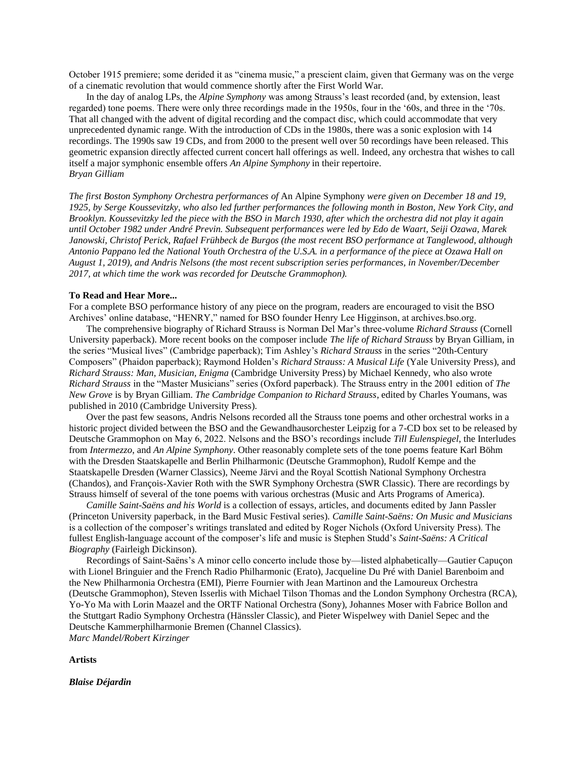October 1915 premiere; some derided it as "cinema music," a prescient claim, given that Germany was on the verge of a cinematic revolution that would commence shortly after the First World War.

In the day of analog LPs, the *Alpine Symphony* was among Strauss's least recorded (and, by extension, least regarded) tone poems. There were only three recordings made in the 1950s, four in the '60s, and three in the '70s. That all changed with the advent of digital recording and the compact disc, which could accommodate that very unprecedented dynamic range. With the introduction of CDs in the 1980s, there was a sonic explosion with 14 recordings. The 1990s saw 19 CDs, and from 2000 to the present well over 50 recordings have been released. This geometric expansion directly affected current concert hall offerings as well. Indeed, any orchestra that wishes to call itself a major symphonic ensemble offers *An Alpine Symphony* in their repertoire. *Bryan Gilliam*

*The first Boston Symphony Orchestra performances of* An Alpine Symphony *were given on December 18 and 19, 1925, by Serge Koussevitzky, who also led further performances the following month in Boston, New York City, and Brooklyn. Koussevitzky led the piece with the BSO in March 1930, after which the orchestra did not play it again until October 1982 under André Previn. Subsequent performances were led by Edo de Waart, Seiji Ozawa, Marek Janowski, Christof Perick, Rafael Frühbeck de Burgos (the most recent BSO performance at Tanglewood, although Antonio Pappano led the National Youth Orchestra of the U.S.A. in a performance of the piece at Ozawa Hall on August 1, 2019), and Andris Nelsons (the most recent subscription series performances, in November/December 2017, at which time the work was recorded for Deutsche Grammophon).*

### **To Read and Hear More...**

For a complete BSO performance history of any piece on the program, readers are encouraged to visit the BSO Archives' online database, "HENRY," named for BSO founder Henry Lee Higginson, at archives.bso.org.

The comprehensive biography of Richard Strauss is Norman Del Mar's three-volume *Richard Strauss* (Cornell University paperback). More recent books on the composer include *The life of Richard Strauss* by Bryan Gilliam, in the series "Musical lives" (Cambridge paperback); Tim Ashley's *Richard Strauss* in the series "20th-Century Composers" (Phaidon paperback); Raymond Holden's *Richard Strauss: A Musical Life* (Yale University Press), and *Richard Strauss: Man, Musician, Enigma* (Cambridge University Press) by Michael Kennedy, who also wrote *Richard Strauss* in the "Master Musicians" series (Oxford paperback). The Strauss entry in the 2001 edition of *The New Grove* is by Bryan Gilliam. *The Cambridge Companion to Richard Strauss*, edited by Charles Youmans, was published in 2010 (Cambridge University Press).

Over the past few seasons, Andris Nelsons recorded all the Strauss tone poems and other orchestral works in a historic project divided between the BSO and the Gewandhausorchester Leipzig for a 7-CD box set to be released by Deutsche Grammophon on May 6, 2022. Nelsons and the BSO's recordings include *Till Eulenspiegel*, the Interludes from *Intermezzo*, and *An Alpine Symphony*. Other reasonably complete sets of the tone poems feature Karl Böhm with the Dresden Staatskapelle and Berlin Philharmonic (Deutsche Grammophon), Rudolf Kempe and the Staatskapelle Dresden (Warner Classics), Neeme Järvi and the Royal Scottish National Symphony Orchestra (Chandos), and François-Xavier Roth with the SWR Symphony Orchestra (SWR Classic). There are recordings by Strauss himself of several of the tone poems with various orchestras (Music and Arts Programs of America).

*Camille Saint-Saëns and his World* is a collection of essays, articles, and documents edited by Jann Passler (Princeton University paperback, in the Bard Music Festival series). *Camille Saint-Saëns: On Music and Musicians* is a collection of the composer's writings translated and edited by Roger Nichols (Oxford University Press). The fullest English-language account of the composer's life and music is Stephen Studd's *Saint-Saëns: A Critical Biography* (Fairleigh Dickinson).

Recordings of Saint-Saëns's A minor cello concerto include those by—listed alphabetically—Gautier Capuçon with Lionel Bringuier and the French Radio Philharmonic (Erato), Jacqueline Du Pré with Daniel Barenboim and the New Philharmonia Orchestra (EMI), Pierre Fournier with Jean Martinon and the Lamoureux Orchestra (Deutsche Grammophon), Steven Isserlis with Michael Tilson Thomas and the London Symphony Orchestra (RCA), Yo-Yo Ma with Lorin Maazel and the ORTF National Orchestra (Sony), Johannes Moser with Fabrice Bollon and the Stuttgart Radio Symphony Orchestra (Hänssler Classic), and Pieter Wispelwey with Daniel Sepec and the Deutsche Kammerphilharmonie Bremen (Channel Classics).

*Marc Mandel/Robert Kirzinger*

**Artists**

*Blaise Déjardin*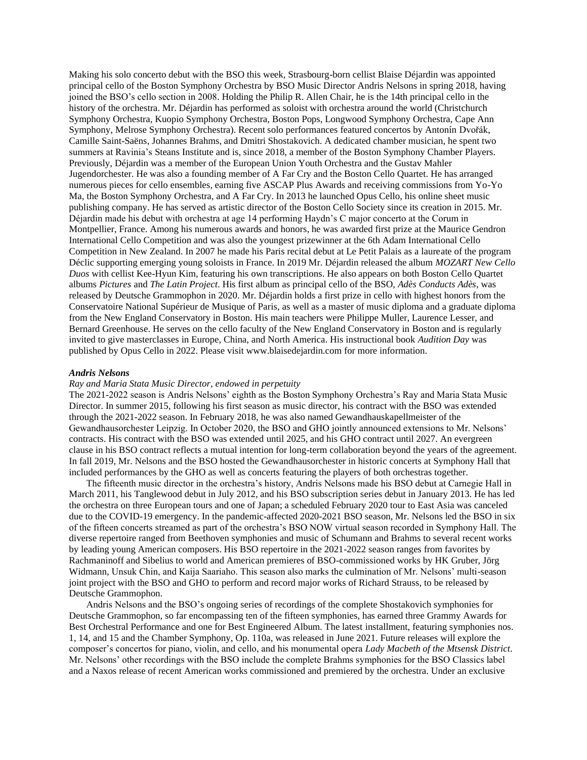Making his solo concerto debut with the BSO this week, Strasbourg-born cellist Blaise Déjardin was appointed principal cello of the Boston Symphony Orchestra by BSO Music Director Andris Nelsons in spring 2018, having joined the BSO's cello section in 2008. Holding the Philip R. Allen Chair, he is the 14th principal cello in the history of the orchestra. Mr. Déjardin has performed as soloist with orchestra around the world (Christchurch Symphony Orchestra, Kuopio Symphony Orchestra, Boston Pops, Longwood Symphony Orchestra, Cape Ann Symphony, Melrose Symphony Orchestra). Recent solo performances featured concertos by Antonín Dvořák, Camille Saint-Saëns, Johannes Brahms, and Dmitri Shostakovich. A dedicated chamber musician, he spent two summers at Ravinia's Steans Institute and is, since 2018, a member of the Boston Symphony Chamber Players. Previously, Déjardin was a member of the European Union Youth Orchestra and the Gustav Mahler Jugendorchester. He was also a founding member of A Far Cry and the Boston Cello Quartet. He has arranged numerous pieces for cello ensembles, earning five ASCAP Plus Awards and receiving commissions from Yo-Yo Ma, the Boston Symphony Orchestra, and A Far Cry. In 2013 he launched Opus Cello, his online sheet music publishing company. He has served as artistic director of the Boston Cello Society since its creation in 2015. Mr. Déjardin made his debut with orchestra at age 14 performing Haydn's C major concerto at the Corum in Montpellier, France. Among his numerous awards and honors, he was awarded first prize at the Maurice Gendron International Cello Competition and was also the youngest prizewinner at the 6th Adam International Cello Competition in New Zealand. In 2007 he made his Paris recital debut at Le Petit Palais as a laureate of the program Déclic supporting emerging young soloists in France. In 2019 Mr. Déjardin released the album *MOZART New Cello Duos* with cellist Kee-Hyun Kim, featuring his own transcriptions. He also appears on both Boston Cello Quartet albums *Pictures* and *The Latin Project*. His first album as principal cello of the BSO, *Adès Conducts Adès*, was released by Deutsche Grammophon in 2020. Mr. Déjardin holds a first prize in cello with highest honors from the Conservatoire National Supérieur de Musique of Paris, as well as a master of music diploma and a graduate diploma from the New England Conservatory in Boston. His main teachers were Philippe Muller, Laurence Lesser, and Bernard Greenhouse. He serves on the cello faculty of the New England Conservatory in Boston and is regularly invited to give masterclasses in Europe, China, and North America. His instructional book *Audition Day* was published by Opus Cello in 2022. Please visit www.blaisedejardin.com for more information.

### *Andris Nelsons*

### *Ray and Maria Stata Music Director, endowed in perpetuity*

The 2021-2022 season is Andris Nelsons' eighth as the Boston Symphony Orchestra's Ray and Maria Stata Music Director. In summer 2015, following his first season as music director, his contract with the BSO was extended through the 2021-2022 season. In February 2018, he was also named Gewandhauskapellmeister of the Gewandhausorchester Leipzig. In October 2020, the BSO and GHO jointly announced extensions to Mr. Nelsons' contracts. His contract with the BSO was extended until 2025, and his GHO contract until 2027. An evergreen clause in his BSO contract reflects a mutual intention for long-term collaboration beyond the years of the agreement. In fall 2019, Mr. Nelsons and the BSO hosted the Gewandhausorchester in historic concerts at Symphony Hall that included performances by the GHO as well as concerts featuring the players of both orchestras together.

The fifteenth music director in the orchestra's history, Andris Nelsons made his BSO debut at Carnegie Hall in March 2011, his Tanglewood debut in July 2012, and his BSO subscription series debut in January 2013. He has led the orchestra on three European tours and one of Japan; a scheduled February 2020 tour to East Asia was canceled due to the COVID-19 emergency. In the pandemic-affected 2020-2021 BSO season, Mr. Nelsons led the BSO in six of the fifteen concerts streamed as part of the orchestra's BSO NOW virtual season recorded in Symphony Hall. The diverse repertoire ranged from Beethoven symphonies and music of Schumann and Brahms to several recent works by leading young American composers. His BSO repertoire in the 2021-2022 season ranges from favorites by Rachmaninoff and Sibelius to world and American premieres of BSO-commissioned works by HK Gruber, Jörg Widmann, Unsuk Chin, and Kaija Saariaho. This season also marks the culmination of Mr. Nelsons' multi-season joint project with the BSO and GHO to perform and record major works of Richard Strauss, to be released by Deutsche Grammophon.

Andris Nelsons and the BSO's ongoing series of recordings of the complete Shostakovich symphonies for Deutsche Grammophon, so far encompassing ten of the fifteen symphonies, has earned three Grammy Awards for Best Orchestral Performance and one for Best Engineered Album. The latest installment, featuring symphonies nos. 1, 14, and 15 and the Chamber Symphony, Op. 110a, was released in June 2021. Future releases will explore the composer's concertos for piano, violin, and cello, and his monumental opera *Lady Macbeth of the Mtsensk District*. Mr. Nelsons' other recordings with the BSO include the complete Brahms symphonies for the BSO Classics label and a Naxos release of recent American works commissioned and premiered by the orchestra. Under an exclusive